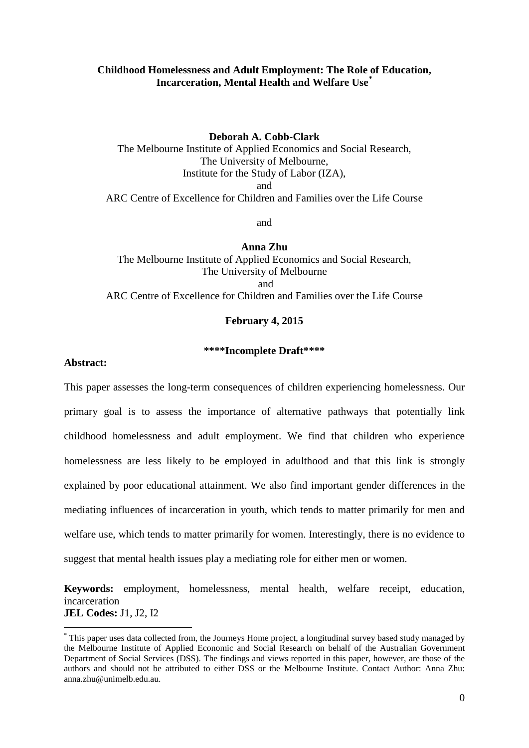### **Childhood Homelessness and Adult Employment: The Role of Education, Incarceration, Mental Health and Welfare Use[\\*](#page-0-0)**

#### **Deborah A. Cobb-Clark**

The Melbourne Institute of Applied Economics and Social Research, The University of Melbourne, Institute for the Study of Labor (IZA), and ARC Centre of Excellence for Children and Families over the Life Course

and

**Anna Zhu**

The Melbourne Institute of Applied Economics and Social Research, The University of Melbourne and ARC Centre of Excellence for Children and Families over the Life Course

#### **February 4, 2015**

### **\*\*\*\*Incomplete Draft\*\*\*\***

### **Abstract:**

-

This paper assesses the long-term consequences of children experiencing homelessness. Our primary goal is to assess the importance of alternative pathways that potentially link childhood homelessness and adult employment. We find that children who experience homelessness are less likely to be employed in adulthood and that this link is strongly explained by poor educational attainment. We also find important gender differences in the mediating influences of incarceration in youth, which tends to matter primarily for men and welfare use, which tends to matter primarily for women. Interestingly, there is no evidence to suggest that mental health issues play a mediating role for either men or women.

**Keywords:** employment, homelessness, mental health, welfare receipt, education, incarceration **JEL Codes:** J1, J2, I2

<span id="page-0-0"></span><sup>\*</sup> This paper uses data collected from, the Journeys Home project, a longitudinal survey based study managed by the Melbourne Institute of Applied Economic and Social Research on behalf of the Australian Government Department of Social Services (DSS). The findings and views reported in this paper, however, are those of the authors and should not be attributed to either DSS or the Melbourne Institute. Contact Author: Anna Zhu: anna.zhu@unimelb.edu.au.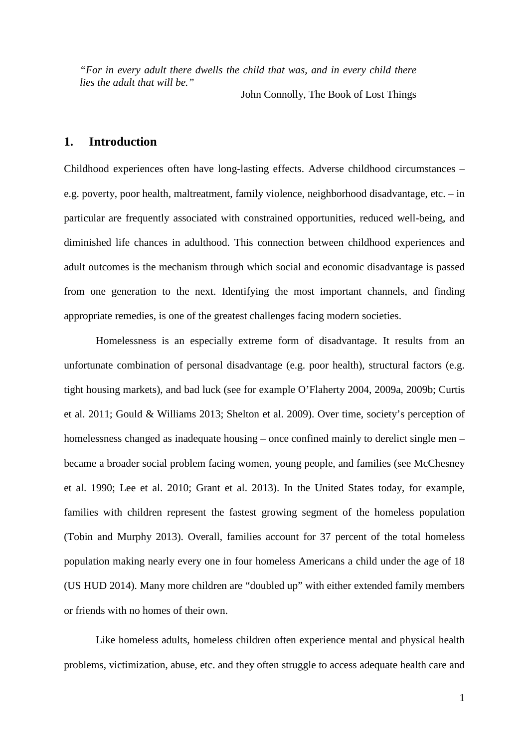*"For in every adult there dwells the child that was, and in every child there lies the adult that will be."* 

John Connolly, The Book of Lost Things

## **1. Introduction**

Childhood experiences often have long-lasting effects. Adverse childhood circumstances – e.g. poverty, poor health, maltreatment, family violence, neighborhood disadvantage, etc. – in particular are frequently associated with constrained opportunities, reduced well-being, and diminished life chances in adulthood. This connection between childhood experiences and adult outcomes is the mechanism through which social and economic disadvantage is passed from one generation to the next. Identifying the most important channels, and finding appropriate remedies, is one of the greatest challenges facing modern societies.

Homelessness is an especially extreme form of disadvantage. It results from an unfortunate combination of personal disadvantage (e.g. poor health), structural factors (e.g. tight housing markets), and bad luck (see for example O'Flaherty 2004, 2009a, 2009b; Curtis et al. 2011; Gould & Williams 2013; Shelton et al. 2009). Over time, society's perception of homelessness changed as inadequate housing – once confined mainly to derelict single men – became a broader social problem facing women, young people, and families (see McChesney et al. 1990; Lee et al. 2010; Grant et al. 2013). In the United States today, for example, families with children represent the fastest growing segment of the homeless population (Tobin and Murphy 2013). Overall, families account for 37 percent of the total homeless population making nearly every one in four homeless Americans a child under the age of 18 (US HUD 2014). Many more children are "doubled up" with either extended family members or friends with no homes of their own.

Like homeless adults, homeless children often experience mental and physical health problems, victimization, abuse, etc. and they often struggle to access adequate health care and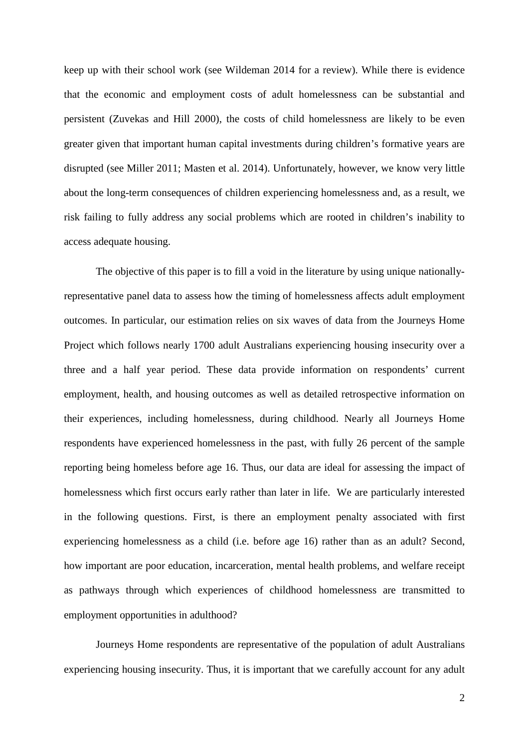keep up with their school work (see Wildeman 2014 for a review). While there is evidence that the economic and employment costs of adult homelessness can be substantial and persistent (Zuvekas and Hill 2000), the costs of child homelessness are likely to be even greater given that important human capital investments during children's formative years are disrupted (see Miller 2011; Masten et al. 2014). Unfortunately, however, we know very little about the long-term consequences of children experiencing homelessness and, as a result, we risk failing to fully address any social problems which are rooted in children's inability to access adequate housing.

The objective of this paper is to fill a void in the literature by using unique nationallyrepresentative panel data to assess how the timing of homelessness affects adult employment outcomes. In particular, our estimation relies on six waves of data from the Journeys Home Project which follows nearly 1700 adult Australians experiencing housing insecurity over a three and a half year period. These data provide information on respondents' current employment, health, and housing outcomes as well as detailed retrospective information on their experiences, including homelessness, during childhood. Nearly all Journeys Home respondents have experienced homelessness in the past, with fully 26 percent of the sample reporting being homeless before age 16. Thus, our data are ideal for assessing the impact of homelessness which first occurs early rather than later in life. We are particularly interested in the following questions. First, is there an employment penalty associated with first experiencing homelessness as a child (i.e. before age 16) rather than as an adult? Second, how important are poor education, incarceration, mental health problems, and welfare receipt as pathways through which experiences of childhood homelessness are transmitted to employment opportunities in adulthood?

Journeys Home respondents are representative of the population of adult Australians experiencing housing insecurity. Thus, it is important that we carefully account for any adult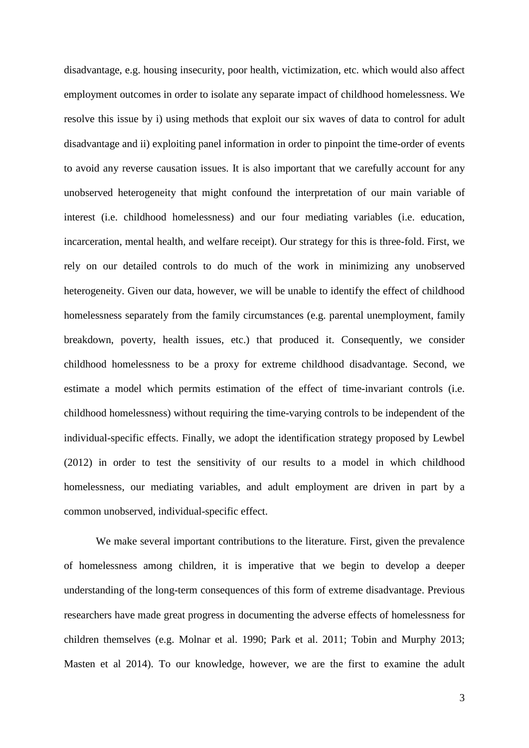disadvantage, e.g. housing insecurity, poor health, victimization, etc. which would also affect employment outcomes in order to isolate any separate impact of childhood homelessness. We resolve this issue by i) using methods that exploit our six waves of data to control for adult disadvantage and ii) exploiting panel information in order to pinpoint the time-order of events to avoid any reverse causation issues. It is also important that we carefully account for any unobserved heterogeneity that might confound the interpretation of our main variable of interest (i.e. childhood homelessness) and our four mediating variables (i.e. education, incarceration, mental health, and welfare receipt). Our strategy for this is three-fold. First, we rely on our detailed controls to do much of the work in minimizing any unobserved heterogeneity. Given our data, however, we will be unable to identify the effect of childhood homelessness separately from the family circumstances (e.g. parental unemployment, family breakdown, poverty, health issues, etc.) that produced it. Consequently, we consider childhood homelessness to be a proxy for extreme childhood disadvantage. Second, we estimate a model which permits estimation of the effect of time-invariant controls (i.e. childhood homelessness) without requiring the time-varying controls to be independent of the individual-specific effects. Finally, we adopt the identification strategy proposed by Lewbel (2012) in order to test the sensitivity of our results to a model in which childhood homelessness, our mediating variables, and adult employment are driven in part by a common unobserved, individual-specific effect.

We make several important contributions to the literature. First, given the prevalence of homelessness among children, it is imperative that we begin to develop a deeper understanding of the long-term consequences of this form of extreme disadvantage. Previous researchers have made great progress in documenting the adverse effects of homelessness for children themselves (e.g. Molnar et al. 1990; Park et al. 2011; Tobin and Murphy 2013; Masten et al 2014). To our knowledge, however, we are the first to examine the adult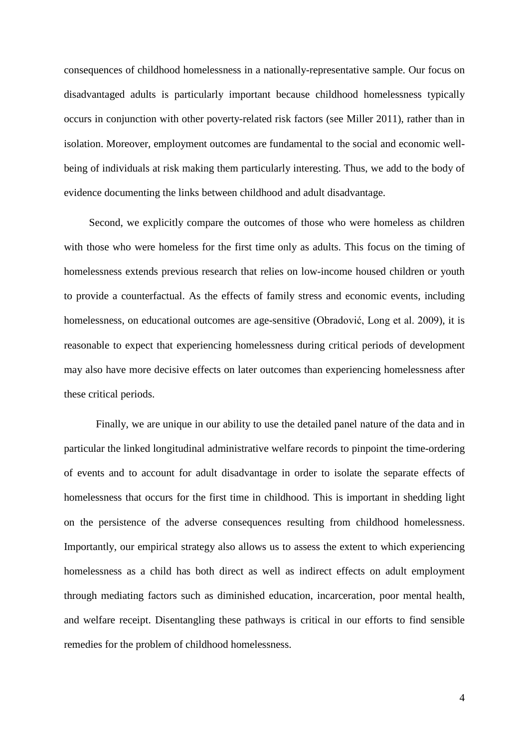consequences of childhood homelessness in a nationally-representative sample. Our focus on disadvantaged adults is particularly important because childhood homelessness typically occurs in conjunction with other poverty-related risk factors (see Miller 2011), rather than in isolation. Moreover, employment outcomes are fundamental to the social and economic wellbeing of individuals at risk making them particularly interesting. Thus, we add to the body of evidence documenting the links between childhood and adult disadvantage.

Second, we explicitly compare the outcomes of those who were homeless as children with those who were homeless for the first time only as adults. This focus on the timing of homelessness extends previous research that relies on low-income housed children or youth to provide a counterfactual. As the effects of family stress and economic events, including homelessness, on educational outcomes are age-sensitive (Obradović, Long et al. 2009), it is reasonable to expect that experiencing homelessness during critical periods of development may also have more decisive effects on later outcomes than experiencing homelessness after these critical periods.

Finally, we are unique in our ability to use the detailed panel nature of the data and in particular the linked longitudinal administrative welfare records to pinpoint the time-ordering of events and to account for adult disadvantage in order to isolate the separate effects of homelessness that occurs for the first time in childhood. This is important in shedding light on the persistence of the adverse consequences resulting from childhood homelessness. Importantly, our empirical strategy also allows us to assess the extent to which experiencing homelessness as a child has both direct as well as indirect effects on adult employment through mediating factors such as diminished education, incarceration, poor mental health, and welfare receipt. Disentangling these pathways is critical in our efforts to find sensible remedies for the problem of childhood homelessness.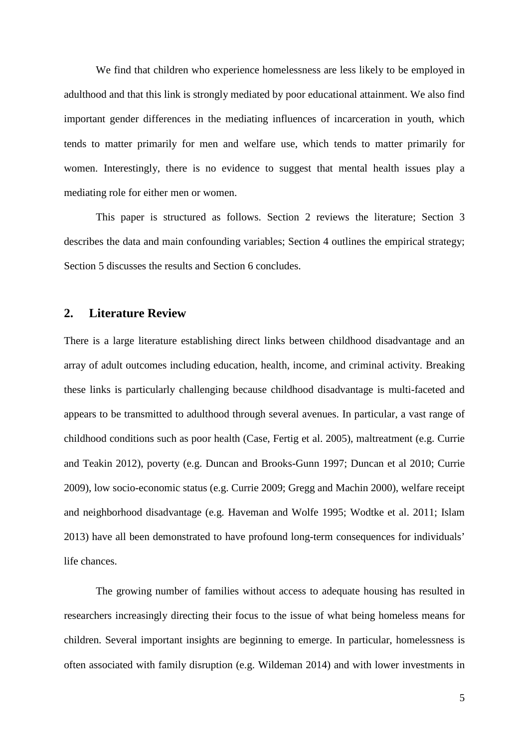We find that children who experience homelessness are less likely to be employed in adulthood and that this link is strongly mediated by poor educational attainment. We also find important gender differences in the mediating influences of incarceration in youth, which tends to matter primarily for men and welfare use, which tends to matter primarily for women. Interestingly, there is no evidence to suggest that mental health issues play a mediating role for either men or women.

This paper is structured as follows. Section 2 reviews the literature; Section 3 describes the data and main confounding variables; Section 4 outlines the empirical strategy; Section 5 discusses the results and Section 6 concludes.

## **2. Literature Review**

There is a large literature establishing direct links between childhood disadvantage and an array of adult outcomes including education, health, income, and criminal activity. Breaking these links is particularly challenging because childhood disadvantage is multi-faceted and appears to be transmitted to adulthood through several avenues. In particular, a vast range of childhood conditions such as poor health (Case, Fertig et al. 2005), maltreatment (e.g. Currie and Teakin 2012), poverty (e.g. Duncan and Brooks-Gunn 1997; Duncan et al 2010; Currie 2009), low socio-economic status (e.g. Currie 2009; Gregg and Machin 2000), welfare receipt and neighborhood disadvantage (e.g. Haveman and Wolfe 1995; Wodtke et al. 2011; Islam 2013) have all been demonstrated to have profound long-term consequences for individuals' life chances.

The growing number of families without access to adequate housing has resulted in researchers increasingly directing their focus to the issue of what being homeless means for children. Several important insights are beginning to emerge. In particular, homelessness is often associated with family disruption (e.g. Wildeman 2014) and with lower investments in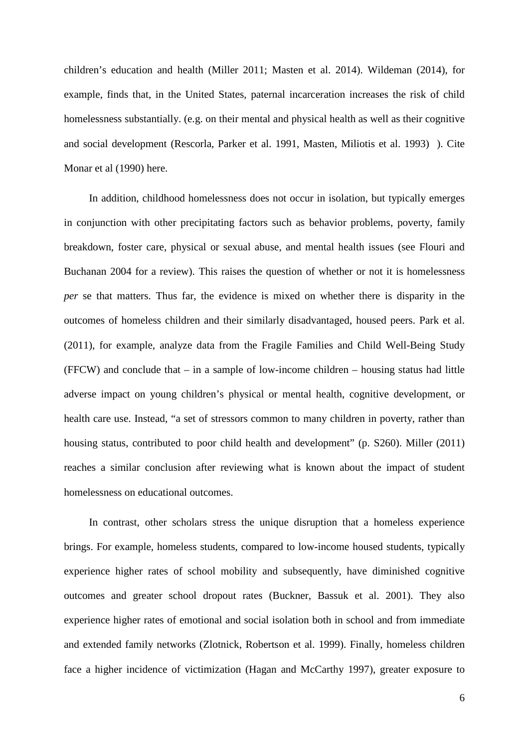children's education and health (Miller 2011; Masten et al. 2014). Wildeman (2014), for example, finds that, in the United States, paternal incarceration increases the risk of child homelessness substantially. (e.g. on their mental and physical health as well as their cognitive and social development (Rescorla, Parker et al. 1991, Masten, Miliotis et al. 1993) ). Cite Monar et al (1990) here.

In addition, childhood homelessness does not occur in isolation, but typically emerges in conjunction with other precipitating factors such as behavior problems, poverty, family breakdown, foster care, physical or sexual abuse, and mental health issues (see Flouri and Buchanan 2004 for a review). This raises the question of whether or not it is homelessness *per* se that matters. Thus far, the evidence is mixed on whether there is disparity in the outcomes of homeless children and their similarly disadvantaged, housed peers. Park et al. (2011), for example, analyze data from the Fragile Families and Child Well-Being Study (FFCW) and conclude that – in a sample of low-income children – housing status had little adverse impact on young children's physical or mental health, cognitive development, or health care use. Instead, "a set of stressors common to many children in poverty, rather than housing status, contributed to poor child health and development" (p. S260). Miller (2011) reaches a similar conclusion after reviewing what is known about the impact of student homelessness on educational outcomes.

In contrast, other scholars stress the unique disruption that a homeless experience brings. For example, homeless students, compared to low-income housed students, typically experience higher rates of school mobility and subsequently, have diminished cognitive outcomes and greater school dropout rates (Buckner, Bassuk et al. 2001). They also experience higher rates of emotional and social isolation both in school and from immediate and extended family networks (Zlotnick, Robertson et al. 1999). Finally, homeless children face a higher incidence of victimization (Hagan and McCarthy 1997), greater exposure to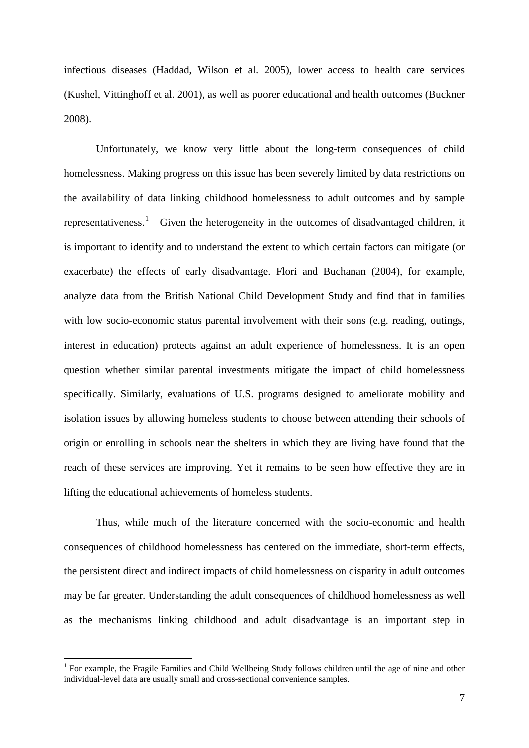infectious diseases (Haddad, Wilson et al. 2005), lower access to health care services (Kushel, Vittinghoff et al. 2001), as well as poorer educational and health outcomes (Buckner 2008).

Unfortunately, we know very little about the long-term consequences of child homelessness. Making progress on this issue has been severely limited by data restrictions on the availability of data linking childhood homelessness to adult outcomes and by sample representativeness.<sup>[1](#page-7-0)</sup> Given the heterogeneity in the outcomes of disadvantaged children, it is important to identify and to understand the extent to which certain factors can mitigate (or exacerbate) the effects of early disadvantage. Flori and Buchanan (2004), for example, analyze data from the British National Child Development Study and find that in families with low socio-economic status parental involvement with their sons (e.g. reading, outings, interest in education) protects against an adult experience of homelessness. It is an open question whether similar parental investments mitigate the impact of child homelessness specifically. Similarly, evaluations of U.S. programs designed to ameliorate mobility and isolation issues by allowing homeless students to choose between attending their schools of origin or enrolling in schools near the shelters in which they are living have found that the reach of these services are improving. Yet it remains to be seen how effective they are in lifting the educational achievements of homeless students.

Thus, while much of the literature concerned with the socio-economic and health consequences of childhood homelessness has centered on the immediate, short-term effects, the persistent direct and indirect impacts of child homelessness on disparity in adult outcomes may be far greater. Understanding the adult consequences of childhood homelessness as well as the mechanisms linking childhood and adult disadvantage is an important step in

<u>.</u>

<span id="page-7-0"></span><sup>&</sup>lt;sup>1</sup> For example, the Fragile Families and Child Wellbeing Study follows children until the age of nine and other individual-level data are usually small and cross-sectional convenience samples.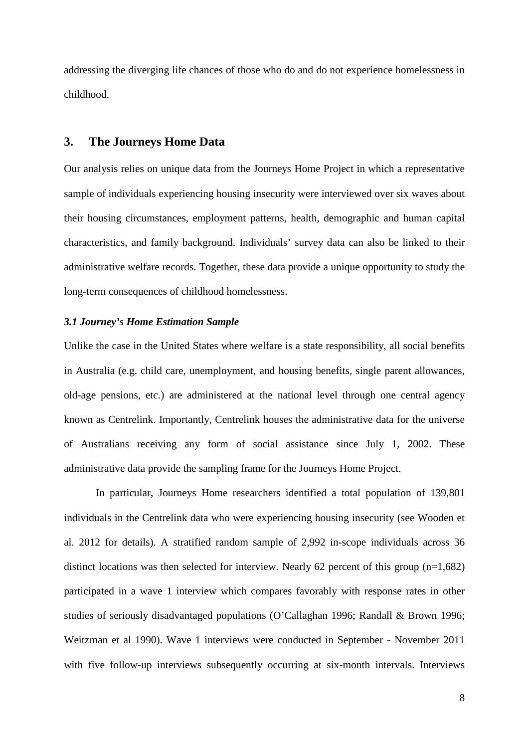addressing the diverging life chances of those who do and do not experience homelessness in childhood.

## **3. The Journeys Home Data**

Our analysis relies on unique data from the Journeys Home Project in which a representative sample of individuals experiencing housing insecurity were interviewed over six waves about their housing circumstances, employment patterns, health, demographic and human capital characteristics, and family background. Individuals' survey data can also be linked to their administrative welfare records. Together, these data provide a unique opportunity to study the long-term consequences of childhood homelessness.

### *3.1 Journey's Home Estimation Sample*

Unlike the case in the United States where welfare is a state responsibility, all social benefits in Australia (e.g. child care, unemployment, and housing benefits, single parent allowances, old-age pensions, etc.) are administered at the national level through one central agency known as Centrelink. Importantly, Centrelink houses the administrative data for the universe of Australians receiving any form of social assistance since July 1, 2002. These administrative data provide the sampling frame for the Journeys Home Project.

In particular, Journeys Home researchers identified a total population of 139,801 individuals in the Centrelink data who were experiencing housing insecurity (see Wooden et al. 2012 for details). A stratified random sample of 2,992 in-scope individuals across 36 distinct locations was then selected for interview. Nearly 62 percent of this group (n=1,682) participated in a wave 1 interview which compares favorably with response rates in other studies of seriously disadvantaged populations (O'Callaghan 1996; Randall & Brown 1996; Weitzman et al 1990). Wave 1 interviews were conducted in September - November 2011 with five follow-up interviews subsequently occurring at six-month intervals. Interviews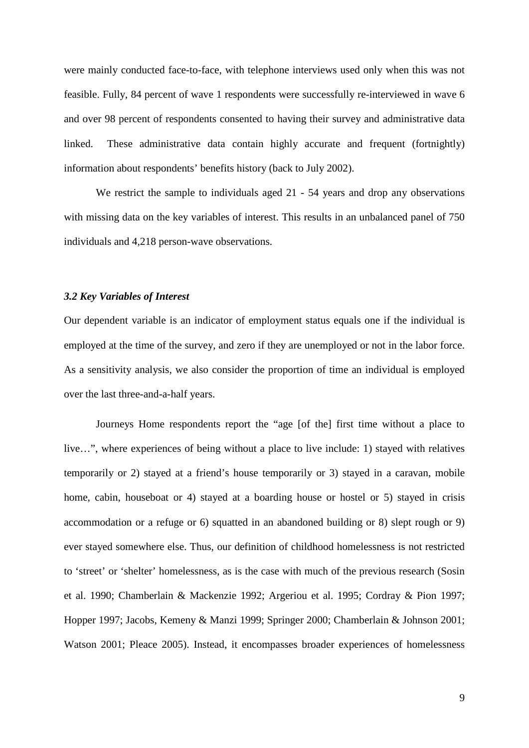were mainly conducted face-to-face, with telephone interviews used only when this was not feasible. Fully, 84 percent of wave 1 respondents were successfully re-interviewed in wave 6 and over 98 percent of respondents consented to having their survey and administrative data linked. These administrative data contain highly accurate and frequent (fortnightly) information about respondents' benefits history (back to July 2002).

We restrict the sample to individuals aged 21 - 54 years and drop any observations with missing data on the key variables of interest. This results in an unbalanced panel of 750 individuals and 4,218 person-wave observations.

#### *3.2 Key Variables of Interest*

Our dependent variable is an indicator of employment status equals one if the individual is employed at the time of the survey, and zero if they are unemployed or not in the labor force. As a sensitivity analysis, we also consider the proportion of time an individual is employed over the last three-and-a-half years.

Journeys Home respondents report the "age [of the] first time without a place to live…", where experiences of being without a place to live include: 1) stayed with relatives temporarily or 2) stayed at a friend's house temporarily or 3) stayed in a caravan, mobile home, cabin, houseboat or 4) stayed at a boarding house or hostel or 5) stayed in crisis accommodation or a refuge or 6) squatted in an abandoned building or 8) slept rough or 9) ever stayed somewhere else. Thus, our definition of childhood homelessness is not restricted to 'street' or 'shelter' homelessness, as is the case with much of the previous research (Sosin et al. 1990; Chamberlain & Mackenzie 1992; Argeriou et al. 1995; Cordray & Pion 1997; Hopper 1997; Jacobs, Kemeny & Manzi 1999; Springer 2000; Chamberlain & Johnson 2001; Watson 2001; Pleace 2005). Instead, it encompasses broader experiences of homelessness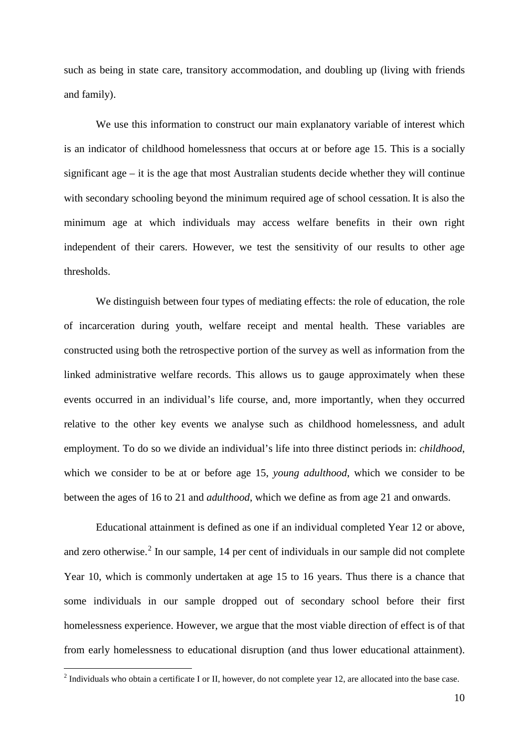such as being in state care, transitory accommodation, and doubling up (living with friends and family).

We use this information to construct our main explanatory variable of interest which is an indicator of childhood homelessness that occurs at or before age 15. This is a socially significant age – it is the age that most Australian students decide whether they will continue with secondary schooling beyond the minimum required age of school cessation. It is also the minimum age at which individuals may access welfare benefits in their own right independent of their carers. However, we test the sensitivity of our results to other age thresholds.

We distinguish between four types of mediating effects: the role of education, the role of incarceration during youth, welfare receipt and mental health. These variables are constructed using both the retrospective portion of the survey as well as information from the linked administrative welfare records. This allows us to gauge approximately when these events occurred in an individual's life course, and, more importantly, when they occurred relative to the other key events we analyse such as childhood homelessness, and adult employment. To do so we divide an individual's life into three distinct periods in: *childhood*, which we consider to be at or before age 15, *young adulthood*, which we consider to be between the ages of 16 to 21 and *adulthood*, which we define as from age 21 and onwards.

Educational attainment is defined as one if an individual completed Year 12 or above, and zero otherwise.<sup>[2](#page-10-0)</sup> In our sample, 14 per cent of individuals in our sample did not complete Year 10, which is commonly undertaken at age 15 to 16 years. Thus there is a chance that some individuals in our sample dropped out of secondary school before their first homelessness experience. However, we argue that the most viable direction of effect is of that from early homelessness to educational disruption (and thus lower educational attainment).

<u>.</u>

<span id="page-10-0"></span> $2$  Individuals who obtain a certificate I or II, however, do not complete year 12, are allocated into the base case.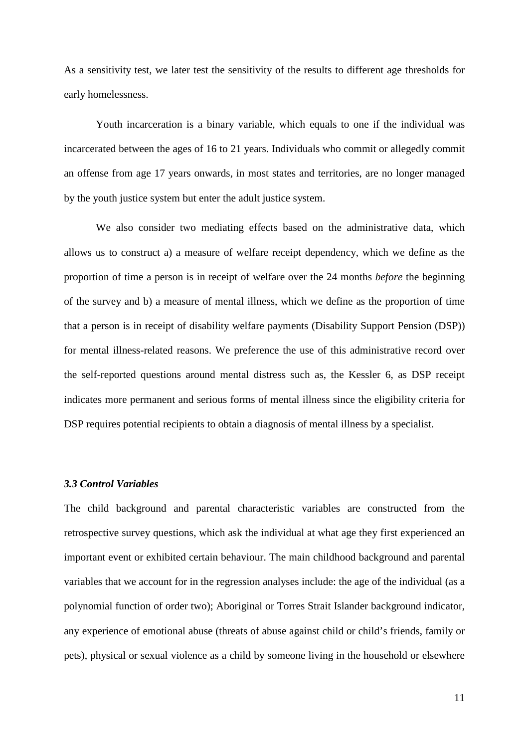As a sensitivity test, we later test the sensitivity of the results to different age thresholds for early homelessness.

Youth incarceration is a binary variable, which equals to one if the individual was incarcerated between the ages of 16 to 21 years. Individuals who commit or allegedly commit an offense from age 17 years onwards, in most states and territories, are no longer managed by the youth justice system but enter the adult justice system.

We also consider two mediating effects based on the administrative data, which allows us to construct a) a measure of welfare receipt dependency, which we define as the proportion of time a person is in receipt of welfare over the 24 months *before* the beginning of the survey and b) a measure of mental illness, which we define as the proportion of time that a person is in receipt of disability welfare payments (Disability Support Pension (DSP)) for mental illness-related reasons. We preference the use of this administrative record over the self-reported questions around mental distress such as, the Kessler 6, as DSP receipt indicates more permanent and serious forms of mental illness since the eligibility criteria for DSP requires potential recipients to obtain a diagnosis of mental illness by a specialist.

## *3.3 Control Variables*

The child background and parental characteristic variables are constructed from the retrospective survey questions, which ask the individual at what age they first experienced an important event or exhibited certain behaviour. The main childhood background and parental variables that we account for in the regression analyses include: the age of the individual (as a polynomial function of order two); Aboriginal or Torres Strait Islander background indicator, any experience of emotional abuse (threats of abuse against child or child's friends, family or pets), physical or sexual violence as a child by someone living in the household or elsewhere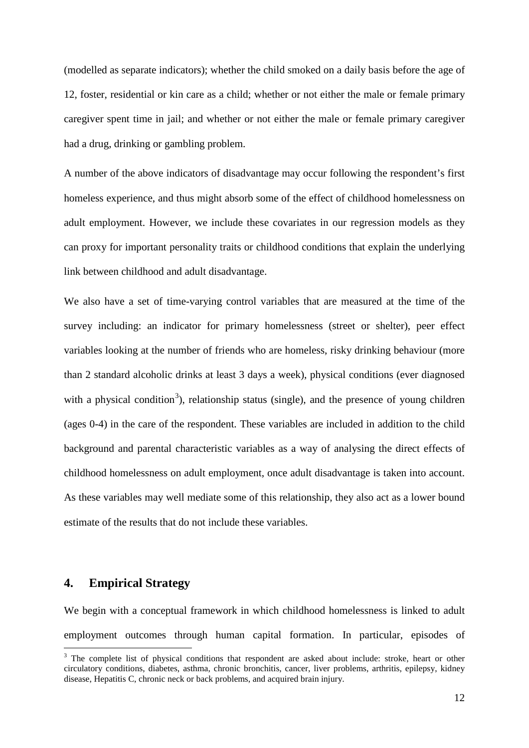(modelled as separate indicators); whether the child smoked on a daily basis before the age of 12, foster, residential or kin care as a child; whether or not either the male or female primary caregiver spent time in jail; and whether or not either the male or female primary caregiver had a drug, drinking or gambling problem.

A number of the above indicators of disadvantage may occur following the respondent's first homeless experience, and thus might absorb some of the effect of childhood homelessness on adult employment. However, we include these covariates in our regression models as they can proxy for important personality traits or childhood conditions that explain the underlying link between childhood and adult disadvantage.

We also have a set of time-varying control variables that are measured at the time of the survey including: an indicator for primary homelessness (street or shelter), peer effect variables looking at the number of friends who are homeless, risky drinking behaviour (more than 2 standard alcoholic drinks at least 3 days a week), physical conditions (ever diagnosed with a physical condition<sup>[3](#page-12-0)</sup>), relationship status (single), and the presence of young children (ages 0-4) in the care of the respondent. These variables are included in addition to the child background and parental characteristic variables as a way of analysing the direct effects of childhood homelessness on adult employment, once adult disadvantage is taken into account. As these variables may well mediate some of this relationship, they also act as a lower bound estimate of the results that do not include these variables.

## **4. Empirical Strategy**

-

We begin with a conceptual framework in which childhood homelessness is linked to adult employment outcomes through human capital formation. In particular, episodes of

<span id="page-12-0"></span><sup>&</sup>lt;sup>3</sup> The complete list of physical conditions that respondent are asked about include: stroke, heart or other circulatory conditions, diabetes, asthma, chronic bronchitis, cancer, liver problems, arthritis, epilepsy, kidney disease, Hepatitis C, chronic neck or back problems, and acquired brain injury.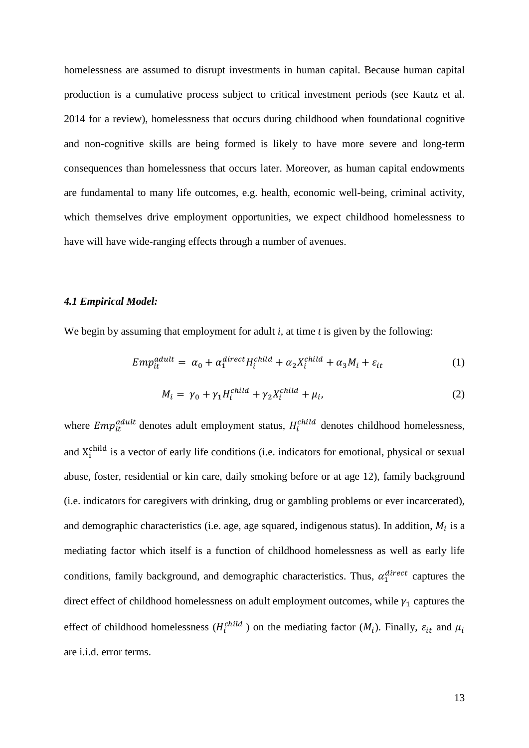homelessness are assumed to disrupt investments in human capital. Because human capital production is a cumulative process subject to critical investment periods (see Kautz et al. 2014 for a review), homelessness that occurs during childhood when foundational cognitive and non-cognitive skills are being formed is likely to have more severe and long-term consequences than homelessness that occurs later. Moreover, as human capital endowments are fundamental to many life outcomes, e.g. health, economic well-being, criminal activity, which themselves drive employment opportunities, we expect childhood homelessness to have will have wide-ranging effects through a number of avenues.

#### *4.1 Empirical Model:*

We begin by assuming that employment for adult *i,* at time *t* is given by the following:

$$
Emp_{it}^{adult} = \alpha_0 + \alpha_1^{direct} H_i^{child} + \alpha_2 X_i^{child} + \alpha_3 M_i + \varepsilon_{it}
$$
 (1)

$$
M_i = \gamma_0 + \gamma_1 H_i^{child} + \gamma_2 X_i^{child} + \mu_i,\tag{2}
$$

where  $Emp_{it}^{adult}$  denotes adult employment status,  $H_i^{child}$  denotes childhood homelessness, and  $X_i^{\text{child}}$  is a vector of early life conditions (i.e. indicators for emotional, physical or sexual abuse, foster, residential or kin care, daily smoking before or at age 12), family background (i.e. indicators for caregivers with drinking, drug or gambling problems or ever incarcerated), and demographic characteristics (i.e. age, age squared, indigenous status). In addition,  $M_i$  is a mediating factor which itself is a function of childhood homelessness as well as early life conditions, family background, and demographic characteristics. Thus,  $\alpha_1^{direct}$  captures the direct effect of childhood homelessness on adult employment outcomes, while  $\gamma_1$  captures the effect of childhood homelessness ( $H_i^{child}$ ) on the mediating factor ( $M_i$ ). Finally,  $\varepsilon_{it}$  and  $\mu_i$ are i.i.d. error terms.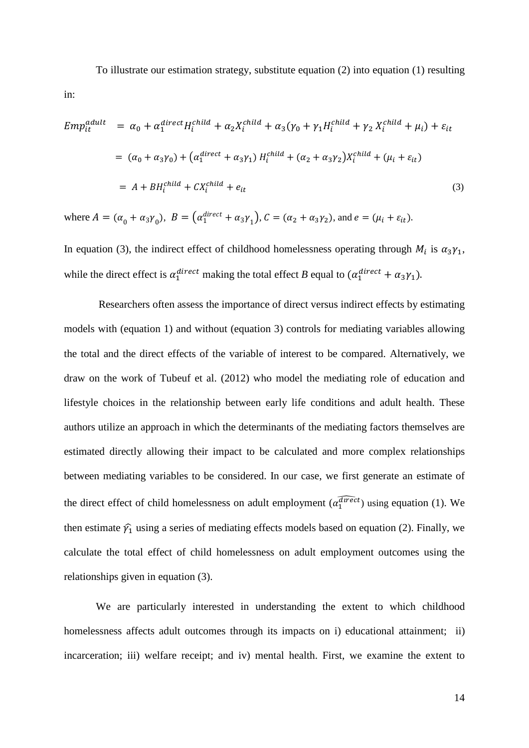To illustrate our estimation strategy, substitute equation (2) into equation (1) resulting

$$
Emp_{it}^{adult} = \alpha_0 + \alpha_1^{direct} H_i^{child} + \alpha_2 X_i^{child} + \alpha_3 (\gamma_0 + \gamma_1 H_i^{child} + \gamma_2 X_i^{child} + \mu_i) + \varepsilon_{it}
$$
  

$$
= (\alpha_0 + \alpha_3 \gamma_0) + (\alpha_1^{direct} + \alpha_3 \gamma_1) H_i^{child} + (\alpha_2 + \alpha_3 \gamma_2) X_i^{child} + (\mu_i + \varepsilon_{it})
$$
  

$$
= A + BH_i^{child} + CX_i^{child} + e_{it}
$$
 (3)

where  $A = (\alpha_0 + \alpha_3 \gamma_0)$ ,  $B = (\alpha_1^{direct} + \alpha_3 \gamma_1)$ ,  $C = (\alpha_2 + \alpha_3 \gamma_2)$ , and  $e = (\mu_i + \varepsilon_{it})$ .

in:

In equation (3), the indirect effect of childhood homelessness operating through  $M_i$  is  $\alpha_3\gamma_1$ , while the direct effect is  $\alpha_1^{direct}$  making the total effect *B* equal to  $(\alpha_1^{direct} + \alpha_3 \gamma_1)$ .

Researchers often assess the importance of direct versus indirect effects by estimating models with (equation 1) and without (equation 3) controls for mediating variables allowing the total and the direct effects of the variable of interest to be compared. Alternatively, we draw on the work of Tubeuf et al. (2012) who model the mediating role of education and lifestyle choices in the relationship between early life conditions and adult health. These authors utilize an approach in which the determinants of the mediating factors themselves are estimated directly allowing their impact to be calculated and more complex relationships between mediating variables to be considered. In our case, we first generate an estimate of the direct effect of child homelessness on adult employment  $(\alpha_1^{direct})$  using equation (1). We then estimate  $\hat{\gamma_1}$  using a series of mediating effects models based on equation (2). Finally, we calculate the total effect of child homelessness on adult employment outcomes using the relationships given in equation (3).

We are particularly interested in understanding the extent to which childhood homelessness affects adult outcomes through its impacts on i) educational attainment; ii) incarceration; iii) welfare receipt; and iv) mental health. First, we examine the extent to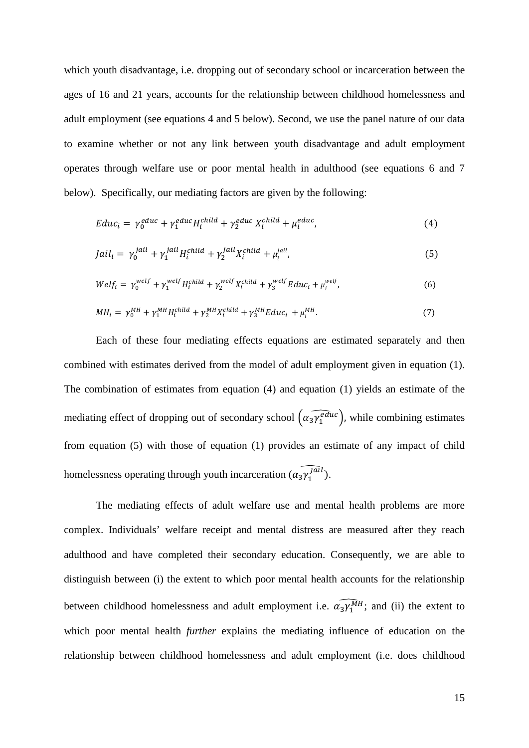which youth disadvantage, i.e. dropping out of secondary school or incarceration between the ages of 16 and 21 years, accounts for the relationship between childhood homelessness and adult employment (see equations 4 and 5 below). Second, we use the panel nature of our data to examine whether or not any link between youth disadvantage and adult employment operates through welfare use or poor mental health in adulthood (see equations 6 and 7 below). Specifically, our mediating factors are given by the following:

$$
Educ_i = \gamma_0^{educ} + \gamma_1^{educ}H_i^{child} + \gamma_2^{educ}X_i^{child} + \mu_i^{educ},
$$
\n(4)

$$
Jail_i = \gamma_0^{jail} + \gamma_1^{jail} H_i^{child} + \gamma_2^{jail} X_i^{child} + \mu_i^{jail}, \qquad (5)
$$

$$
Welf_i = \gamma_0^{welf} + \gamma_1^{welf} H_i^{child} + \gamma_2^{welf} X_i^{child} + \gamma_3^{welf} E duc_i + \mu_i^{welf}, \tag{6}
$$

$$
MH_i = \gamma_0^{MH} + \gamma_1^{MH} H_i^{child} + \gamma_2^{MH} X_i^{child} + \gamma_3^{MH} E duc_i + \mu_i^{MH}.
$$
 (7)

Each of these four mediating effects equations are estimated separately and then combined with estimates derived from the model of adult employment given in equation (1). The combination of estimates from equation (4) and equation (1) yields an estimate of the mediating effect of dropping out of secondary school  $\left(\widehat{\alpha_3 \gamma_1^{educ}}\right)$ , while combining estimates from equation (5) with those of equation (1) provides an estimate of any impact of child homelessness operating through youth incarceration  $(\alpha_3 \gamma_1^{j \bar{\alpha} l})$ .

The mediating effects of adult welfare use and mental health problems are more complex. Individuals' welfare receipt and mental distress are measured after they reach adulthood and have completed their secondary education. Consequently, we are able to distinguish between (i) the extent to which poor mental health accounts for the relationship between childhood homelessness and adult employment i.e.  $\widehat{\alpha_3 \gamma_1^{MH}}$ ; and (ii) the extent to which poor mental health *further* explains the mediating influence of education on the relationship between childhood homelessness and adult employment (i.e. does childhood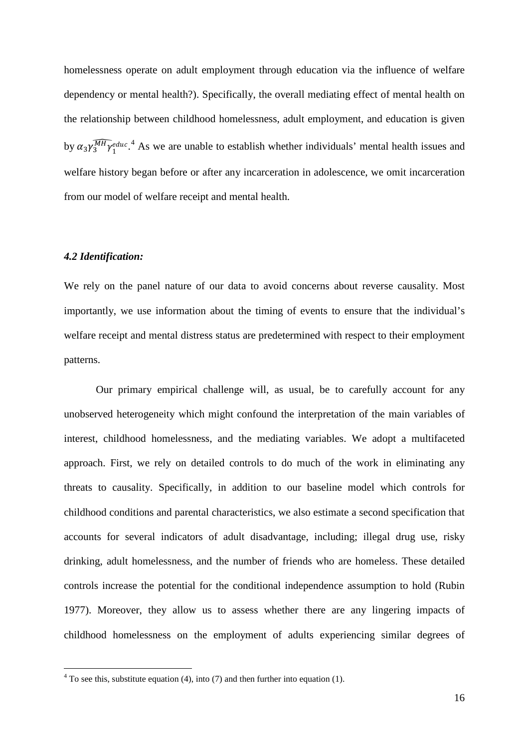homelessness operate on adult employment through education via the influence of welfare dependency or mental health?). Specifically, the overall mediating effect of mental health on the relationship between childhood homelessness, adult employment, and education is given by  $\alpha_3 \gamma_3^{\overline{MH}} \gamma_1^{educ}$ <sup>[4](#page-16-0)</sup>. As we are unable to establish whether individuals' mental health issues and welfare history began before or after any incarceration in adolescence, we omit incarceration from our model of welfare receipt and mental health.

#### *4.2 Identification:*

<u>.</u>

We rely on the panel nature of our data to avoid concerns about reverse causality. Most importantly, we use information about the timing of events to ensure that the individual's welfare receipt and mental distress status are predetermined with respect to their employment patterns.

Our primary empirical challenge will, as usual, be to carefully account for any unobserved heterogeneity which might confound the interpretation of the main variables of interest, childhood homelessness, and the mediating variables. We adopt a multifaceted approach. First, we rely on detailed controls to do much of the work in eliminating any threats to causality. Specifically, in addition to our baseline model which controls for childhood conditions and parental characteristics, we also estimate a second specification that accounts for several indicators of adult disadvantage, including; illegal drug use, risky drinking, adult homelessness, and the number of friends who are homeless. These detailed controls increase the potential for the conditional independence assumption to hold (Rubin 1977). Moreover, they allow us to assess whether there are any lingering impacts of childhood homelessness on the employment of adults experiencing similar degrees of

<span id="page-16-0"></span> $4$  To see this, substitute equation (4), into (7) and then further into equation (1).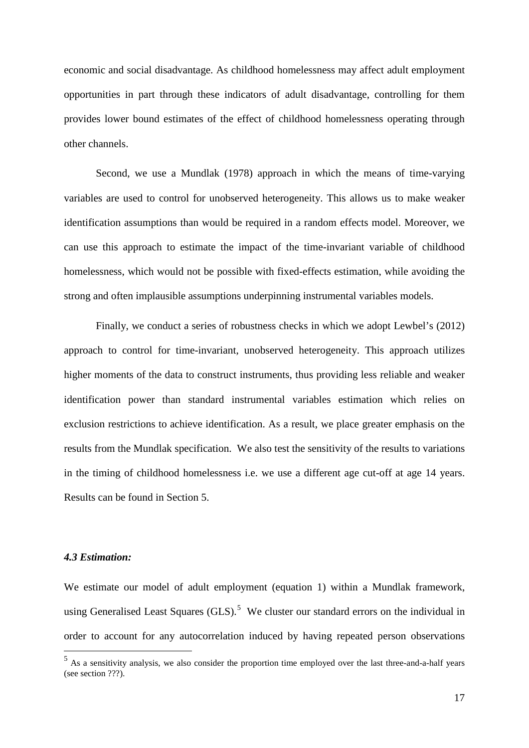economic and social disadvantage. As childhood homelessness may affect adult employment opportunities in part through these indicators of adult disadvantage, controlling for them provides lower bound estimates of the effect of childhood homelessness operating through other channels.

Second, we use a Mundlak (1978) approach in which the means of time-varying variables are used to control for unobserved heterogeneity. This allows us to make weaker identification assumptions than would be required in a random effects model. Moreover, we can use this approach to estimate the impact of the time-invariant variable of childhood homelessness, which would not be possible with fixed-effects estimation, while avoiding the strong and often implausible assumptions underpinning instrumental variables models.

Finally, we conduct a series of robustness checks in which we adopt Lewbel's (2012) approach to control for time-invariant, unobserved heterogeneity. This approach utilizes higher moments of the data to construct instruments, thus providing less reliable and weaker identification power than standard instrumental variables estimation which relies on exclusion restrictions to achieve identification. As a result, we place greater emphasis on the results from the Mundlak specification. We also test the sensitivity of the results to variations in the timing of childhood homelessness i.e. we use a different age cut-off at age 14 years. Results can be found in Section 5.

#### *4.3 Estimation:*

<u>.</u>

We estimate our model of adult employment (equation 1) within a Mundlak framework, using Generalised Least Squares  $(GLS)$ .<sup>[5](#page-17-0)</sup> We cluster our standard errors on the individual in order to account for any autocorrelation induced by having repeated person observations

<span id="page-17-0"></span> $<sup>5</sup>$  As a sensitivity analysis, we also consider the proportion time employed over the last three-and-a-half years</sup> (see section ???).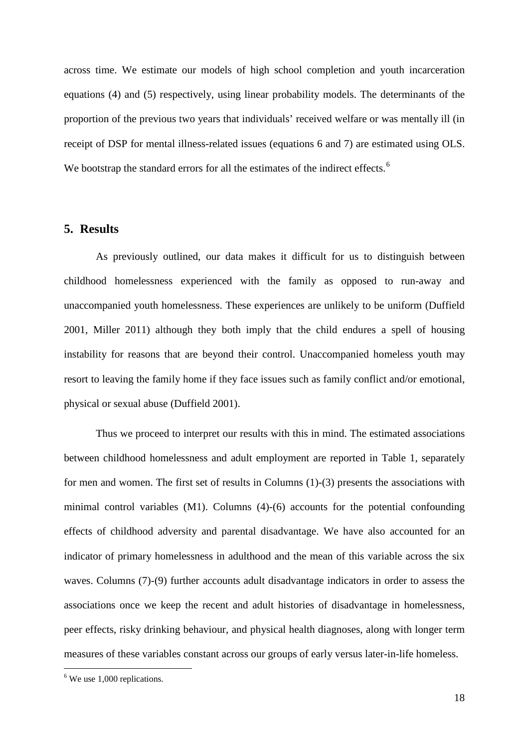across time. We estimate our models of high school completion and youth incarceration equations (4) and (5) respectively, using linear probability models. The determinants of the proportion of the previous two years that individuals' received welfare or was mentally ill (in receipt of DSP for mental illness-related issues (equations 6 and 7) are estimated using OLS. We bootstrap the standard errors for all the estimates of the indirect effects.<sup>[6](#page-18-0)</sup>

### **5. Results**

As previously outlined, our data makes it difficult for us to distinguish between childhood homelessness experienced with the family as opposed to run-away and unaccompanied youth homelessness. These experiences are unlikely to be uniform (Duffield 2001, Miller 2011) although they both imply that the child endures a spell of housing instability for reasons that are beyond their control. Unaccompanied homeless youth may resort to leaving the family home if they face issues such as family conflict and/or emotional, physical or sexual abuse (Duffield 2001).

Thus we proceed to interpret our results with this in mind. The estimated associations between childhood homelessness and adult employment are reported in Table 1, separately for men and women. The first set of results in Columns (1)-(3) presents the associations with minimal control variables (M1). Columns (4)-(6) accounts for the potential confounding effects of childhood adversity and parental disadvantage. We have also accounted for an indicator of primary homelessness in adulthood and the mean of this variable across the six waves. Columns (7)-(9) further accounts adult disadvantage indicators in order to assess the associations once we keep the recent and adult histories of disadvantage in homelessness, peer effects, risky drinking behaviour, and physical health diagnoses, along with longer term measures of these variables constant across our groups of early versus later-in-life homeless.

<u>.</u>

<span id="page-18-0"></span><sup>6</sup> We use 1,000 replications.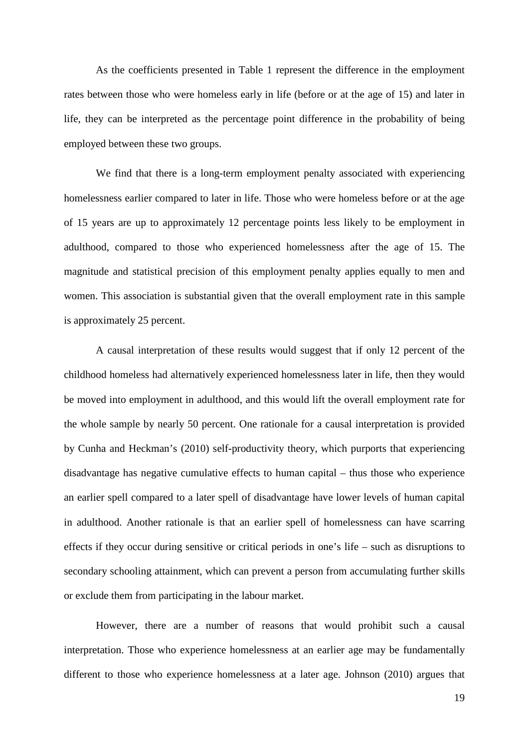As the coefficients presented in Table 1 represent the difference in the employment rates between those who were homeless early in life (before or at the age of 15) and later in life, they can be interpreted as the percentage point difference in the probability of being employed between these two groups.

We find that there is a long-term employment penalty associated with experiencing homelessness earlier compared to later in life. Those who were homeless before or at the age of 15 years are up to approximately 12 percentage points less likely to be employment in adulthood, compared to those who experienced homelessness after the age of 15. The magnitude and statistical precision of this employment penalty applies equally to men and women. This association is substantial given that the overall employment rate in this sample is approximately 25 percent.

A causal interpretation of these results would suggest that if only 12 percent of the childhood homeless had alternatively experienced homelessness later in life, then they would be moved into employment in adulthood, and this would lift the overall employment rate for the whole sample by nearly 50 percent. One rationale for a causal interpretation is provided by Cunha and Heckman's (2010) self-productivity theory, which purports that experiencing disadvantage has negative cumulative effects to human capital – thus those who experience an earlier spell compared to a later spell of disadvantage have lower levels of human capital in adulthood. Another rationale is that an earlier spell of homelessness can have scarring effects if they occur during sensitive or critical periods in one's life – such as disruptions to secondary schooling attainment, which can prevent a person from accumulating further skills or exclude them from participating in the labour market.

However, there are a number of reasons that would prohibit such a causal interpretation. Those who experience homelessness at an earlier age may be fundamentally different to those who experience homelessness at a later age. Johnson (2010) argues that

19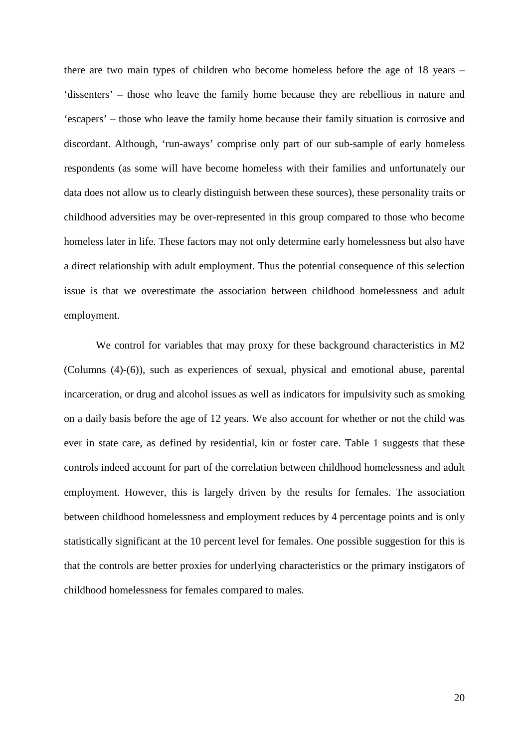there are two main types of children who become homeless before the age of 18 years – 'dissenters' – those who leave the family home because they are rebellious in nature and 'escapers' – those who leave the family home because their family situation is corrosive and discordant. Although, 'run-aways' comprise only part of our sub-sample of early homeless respondents (as some will have become homeless with their families and unfortunately our data does not allow us to clearly distinguish between these sources), these personality traits or childhood adversities may be over-represented in this group compared to those who become homeless later in life. These factors may not only determine early homelessness but also have a direct relationship with adult employment. Thus the potential consequence of this selection issue is that we overestimate the association between childhood homelessness and adult employment.

We control for variables that may proxy for these background characteristics in M2 (Columns (4)-(6)), such as experiences of sexual, physical and emotional abuse, parental incarceration, or drug and alcohol issues as well as indicators for impulsivity such as smoking on a daily basis before the age of 12 years. We also account for whether or not the child was ever in state care, as defined by residential, kin or foster care. Table 1 suggests that these controls indeed account for part of the correlation between childhood homelessness and adult employment. However, this is largely driven by the results for females. The association between childhood homelessness and employment reduces by 4 percentage points and is only statistically significant at the 10 percent level for females. One possible suggestion for this is that the controls are better proxies for underlying characteristics or the primary instigators of childhood homelessness for females compared to males.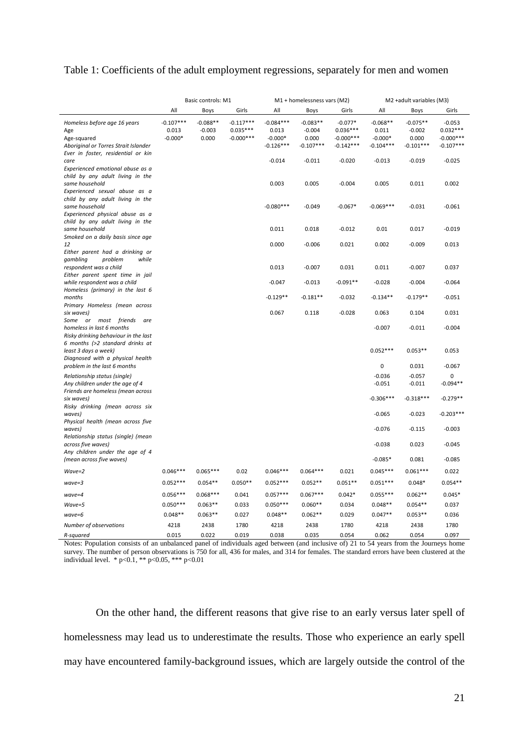### Table 1: Coefficients of the adult employment regressions, separately for men and women

|                                                                                                                              | Basic controls: M1                |                                 |                                          |                                                  | M1 + homelessness vars (M2)                    |                                                       | M2 +adult variables (M3)                        |                                                |                                                      |  |
|------------------------------------------------------------------------------------------------------------------------------|-----------------------------------|---------------------------------|------------------------------------------|--------------------------------------------------|------------------------------------------------|-------------------------------------------------------|-------------------------------------------------|------------------------------------------------|------------------------------------------------------|--|
|                                                                                                                              | All                               | Boys                            | Girls                                    | All                                              | Boys                                           | Girls                                                 | All                                             | Boys                                           | Girls                                                |  |
| Homeless before age 16 years<br>Age<br>Age-squared<br>Aboriginal or Torres Strait Islander                                   | $-0.107***$<br>0.013<br>$-0.000*$ | $-0.088**$<br>$-0.003$<br>0.000 | $-0.117***$<br>$0.035***$<br>$-0.000***$ | $-0.084***$<br>0.013<br>$-0.000*$<br>$-0.126***$ | $-0.083**$<br>$-0.004$<br>0.000<br>$-0.107***$ | $-0.077*$<br>$0.036***$<br>$-0.000***$<br>$-0.142***$ | $-0.068**$<br>0.011<br>$-0.000*$<br>$-0.104***$ | $-0.075**$<br>$-0.002$<br>0.000<br>$-0.101***$ | $-0.053$<br>$0.032***$<br>$-0.000***$<br>$-0.107***$ |  |
| Ever in foster, residential or kin<br>care<br>Experienced emotional abuse as a                                               |                                   |                                 |                                          | $-0.014$                                         | $-0.011$                                       | $-0.020$                                              | $-0.013$                                        | $-0.019$                                       | $-0.025$                                             |  |
| child by any adult living in the<br>same household<br>Experienced sexual abuse as a                                          |                                   |                                 |                                          | 0.003                                            | 0.005                                          | $-0.004$                                              | 0.005                                           | 0.011                                          | 0.002                                                |  |
| child by any adult living in the<br>same household<br>Experienced physical abuse as a                                        |                                   |                                 |                                          | $-0.080***$                                      | $-0.049$                                       | $-0.067*$                                             | $-0.069***$                                     | $-0.031$                                       | $-0.061$                                             |  |
| child by any adult living in the<br>same household<br>Smoked on a daily basis since age                                      |                                   |                                 |                                          | 0.011                                            | 0.018                                          | $-0.012$                                              | 0.01                                            | 0.017                                          | $-0.019$                                             |  |
| 12<br>Either parent had a drinking or<br>problem<br>while                                                                    |                                   |                                 |                                          | 0.000                                            | $-0.006$                                       | 0.021                                                 | 0.002                                           | $-0.009$                                       | 0.013                                                |  |
| gambling<br>respondent was a child<br>Either parent spent time in jail                                                       |                                   |                                 |                                          | 0.013                                            | $-0.007$                                       | 0.031                                                 | 0.011                                           | $-0.007$                                       | 0.037                                                |  |
| while respondent was a child<br>Homeless (primary) in the last 6                                                             |                                   |                                 |                                          | $-0.047$                                         | $-0.013$                                       | $-0.091**$                                            | $-0.028$                                        | $-0.004$                                       | $-0.064$                                             |  |
| months<br>Primary Homeless (mean across                                                                                      |                                   |                                 |                                          | $-0.129**$                                       | $-0.181**$                                     | $-0.032$                                              | $-0.134**$                                      | $-0.179**$                                     | $-0.051$                                             |  |
| six waves)<br>are                                                                                                            |                                   |                                 |                                          | 0.067                                            | 0.118                                          | $-0.028$                                              | 0.063                                           | 0.104                                          | 0.031                                                |  |
| Some or most friends<br>homeless in last 6 months<br>Risky drinking behaviour in the last<br>6 months (>2 standard drinks at |                                   |                                 |                                          |                                                  |                                                |                                                       | $-0.007$                                        | $-0.011$                                       | $-0.004$                                             |  |
| least 3 days a week)<br>Diagnosed with a physical health                                                                     |                                   |                                 |                                          |                                                  |                                                |                                                       | $0.052***$<br>0                                 | $0.053**$                                      | 0.053                                                |  |
| problem in the last 6 months                                                                                                 |                                   |                                 |                                          |                                                  |                                                |                                                       |                                                 | 0.031                                          | $-0.067$                                             |  |
| Relationship status (single)<br>Any children under the age of 4<br>Friends are homeless (mean across                         |                                   |                                 |                                          |                                                  |                                                |                                                       | $-0.036$<br>$-0.051$                            | $-0.057$<br>$-0.011$                           | 0<br>$-0.094**$                                      |  |
| six waves)<br>Risky drinking (mean across six                                                                                |                                   |                                 |                                          |                                                  |                                                |                                                       | $-0.306***$                                     | $-0.318***$                                    | $-0.279**$                                           |  |
| waves)<br>Physical health (mean across five                                                                                  |                                   |                                 |                                          |                                                  |                                                |                                                       | $-0.065$                                        | $-0.023$                                       | $-0.203***$                                          |  |
| waves)<br>Relationship status (single) (mean                                                                                 |                                   |                                 |                                          |                                                  |                                                |                                                       | $-0.076$                                        | $-0.115$                                       | $-0.003$                                             |  |
| across five waves)<br>Any children under the age of 4                                                                        |                                   |                                 |                                          |                                                  |                                                |                                                       | $-0.038$                                        | 0.023                                          | $-0.045$                                             |  |
| (mean across five waves)                                                                                                     |                                   |                                 |                                          |                                                  |                                                |                                                       | $-0.085*$                                       | 0.081                                          | $-0.085$                                             |  |
| Wave=2                                                                                                                       | $0.046***$                        | $0.065***$                      | 0.02                                     | $0.046***$                                       | $0.064***$                                     | 0.021                                                 | $0.045***$                                      | $0.061***$                                     | 0.022                                                |  |
| wave=3                                                                                                                       | $0.052***$                        | $0.054**$                       | $0.050**$                                | $0.052***$                                       | $0.052**$                                      | $0.051**$                                             | $0.051***$                                      | $0.048*$                                       | $0.054**$                                            |  |
| $wave = 4$                                                                                                                   | $0.056***$                        | $0.068***$                      | 0.041                                    | $0.057***$                                       | $0.067***$                                     | $0.042*$                                              | $0.055***$                                      | $0.062**$                                      | $0.045*$                                             |  |
| Wave=5                                                                                                                       | $0.050***$                        | $0.063**$                       | 0.033                                    | $0.050***$                                       | $0.060**$                                      | 0.034                                                 | $0.048**$                                       | $0.054**$                                      | 0.037                                                |  |
| $wave = 6$                                                                                                                   | $0.048**$                         | $0.063**$                       | 0.027                                    | $0.048**$                                        | $0.062**$                                      | 0.029                                                 | $0.047**$                                       | $0.053**$                                      | 0.036                                                |  |
| Number of observations                                                                                                       | 4218                              | 2438                            | 1780                                     | 4218                                             | 2438                                           | 1780                                                  | 4218                                            | 2438                                           | 1780                                                 |  |
| R-squared                                                                                                                    | 0.015                             | 0.022                           | 0.019                                    | 0.038                                            | 0.035                                          | 0.054                                                 | 0.062                                           | 0.054                                          | 0.097                                                |  |

Notes: Population consists of an unbalanced panel of individuals aged between (and inclusive of) 21 to 54 years from the Journeys home survey. The number of person observations is 750 for all, 436 for males, and 314 for females. The standard errors have been clustered at the individual level. \* p<0.1, \*\* p<0.05, \*\*\* p<0.01

On the other hand, the different reasons that give rise to an early versus later spell of homelessness may lead us to underestimate the results. Those who experience an early spell may have encountered family-background issues, which are largely outside the control of the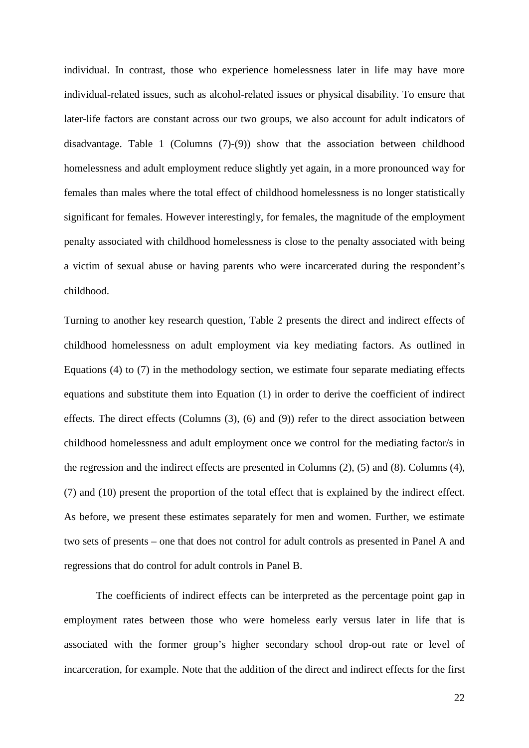individual. In contrast, those who experience homelessness later in life may have more individual-related issues, such as alcohol-related issues or physical disability. To ensure that later-life factors are constant across our two groups, we also account for adult indicators of disadvantage. Table 1 (Columns (7)-(9)) show that the association between childhood homelessness and adult employment reduce slightly yet again, in a more pronounced way for females than males where the total effect of childhood homelessness is no longer statistically significant for females. However interestingly, for females, the magnitude of the employment penalty associated with childhood homelessness is close to the penalty associated with being a victim of sexual abuse or having parents who were incarcerated during the respondent's childhood.

Turning to another key research question, Table 2 presents the direct and indirect effects of childhood homelessness on adult employment via key mediating factors. As outlined in Equations (4) to (7) in the methodology section, we estimate four separate mediating effects equations and substitute them into Equation (1) in order to derive the coefficient of indirect effects. The direct effects (Columns (3), (6) and (9)) refer to the direct association between childhood homelessness and adult employment once we control for the mediating factor/s in the regression and the indirect effects are presented in Columns (2), (5) and (8). Columns (4), (7) and (10) present the proportion of the total effect that is explained by the indirect effect. As before, we present these estimates separately for men and women. Further, we estimate two sets of presents – one that does not control for adult controls as presented in Panel A and regressions that do control for adult controls in Panel B.

The coefficients of indirect effects can be interpreted as the percentage point gap in employment rates between those who were homeless early versus later in life that is associated with the former group's higher secondary school drop-out rate or level of incarceration, for example. Note that the addition of the direct and indirect effects for the first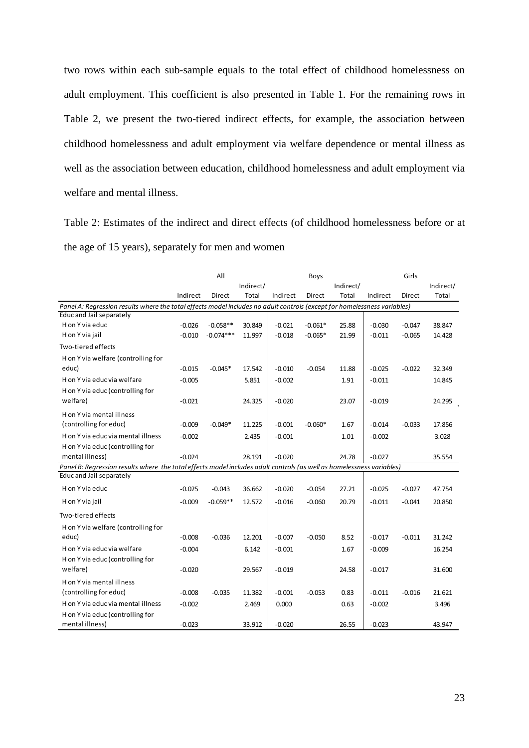two rows within each sub-sample equals to the total effect of childhood homelessness on adult employment. This coefficient is also presented in Table 1. For the remaining rows in Table 2, we present the two-tiered indirect effects, for example, the association between childhood homelessness and adult employment via welfare dependence or mental illness as well as the association between education, childhood homelessness and adult employment via welfare and mental illness.

Table 2: Estimates of the indirect and direct effects (of childhood homelessness before or at the age of 15 years), separately for men and women

|                                                                                                                          | All       |             |        |          | Boys      |           | Girls     |          |        |
|--------------------------------------------------------------------------------------------------------------------------|-----------|-------------|--------|----------|-----------|-----------|-----------|----------|--------|
|                                                                                                                          | Indirect/ |             |        |          |           | Indirect/ | Indirect/ |          |        |
|                                                                                                                          | Indirect  | Direct      | Total  | Indirect | Direct    | Total     | Indirect  | Direct   | Total  |
| Panel A: Regression results where the total effects model includes no adult controls (except for homelessness variables) |           |             |        |          |           |           |           |          |        |
| Educ and Jail separately                                                                                                 |           |             |        |          |           |           |           |          |        |
| H on Y via educ                                                                                                          | $-0.026$  | $-0.058**$  | 30.849 | $-0.021$ | $-0.061*$ | 25.88     | $-0.030$  | $-0.047$ | 38.847 |
| H on Y via jail                                                                                                          | $-0.010$  | $-0.074***$ | 11.997 | $-0.018$ | $-0.065*$ | 21.99     | $-0.011$  | $-0.065$ | 14.428 |
| Two-tiered effects                                                                                                       |           |             |        |          |           |           |           |          |        |
| H on Y via welfare (controlling for                                                                                      |           |             |        |          |           |           |           |          |        |
| educ)                                                                                                                    | $-0.015$  | $-0.045*$   | 17.542 | $-0.010$ | $-0.054$  | 11.88     | $-0.025$  | $-0.022$ | 32.349 |
| H on Y via educ via welfare                                                                                              | $-0.005$  |             | 5.851  | $-0.002$ |           | 1.91      | $-0.011$  |          | 14.845 |
| H on Y via educ (controlling for                                                                                         |           |             |        |          |           |           |           |          |        |
| welfare)                                                                                                                 | $-0.021$  |             | 24.325 | $-0.020$ |           | 23.07     | $-0.019$  |          | 24.295 |
| H on Y via mental illness                                                                                                |           |             |        |          |           |           |           |          |        |
| (controlling for educ)                                                                                                   | $-0.009$  | $-0.049*$   | 11.225 | $-0.001$ | $-0.060*$ | 1.67      | $-0.014$  | $-0.033$ | 17.856 |
| H on Y via educ via mental illness                                                                                       | $-0.002$  |             | 2.435  | $-0.001$ |           | 1.01      | $-0.002$  |          | 3.028  |
| H on Y via educ (controlling for                                                                                         |           |             |        |          |           |           |           |          |        |
| mental illness)                                                                                                          | $-0.024$  |             | 28.191 | $-0.020$ |           | 24.78     | $-0.027$  |          | 35.554 |
| Panel B: Regression results where the total effects model includes adult controls (as well as homelessness variables)    |           |             |        |          |           |           |           |          |        |
| Educ and Jail separately                                                                                                 |           |             |        |          |           |           |           |          |        |
| H on Y via educ                                                                                                          | $-0.025$  | $-0.043$    | 36.662 | $-0.020$ | $-0.054$  | 27.21     | $-0.025$  | $-0.027$ | 47.754 |
| H on Y via jail                                                                                                          | $-0.009$  | $-0.059**$  | 12.572 | $-0.016$ | $-0.060$  | 20.79     | $-0.011$  | $-0.041$ | 20.850 |
| Two-tiered effects                                                                                                       |           |             |        |          |           |           |           |          |        |
| H on Y via welfare (controlling for                                                                                      |           |             |        |          |           |           |           |          |        |
| educ)                                                                                                                    | $-0.008$  | $-0.036$    | 12.201 | $-0.007$ | $-0.050$  | 8.52      | $-0.017$  | $-0.011$ | 31.242 |
| H on Y via educ via welfare                                                                                              | $-0.004$  |             | 6.142  | $-0.001$ |           | 1.67      | $-0.009$  |          | 16.254 |
| H on Y via educ (controlling for                                                                                         |           |             |        |          |           |           |           |          |        |
| welfare)                                                                                                                 | $-0.020$  |             | 29.567 | $-0.019$ |           | 24.58     | $-0.017$  |          | 31.600 |
| H on Y via mental illness                                                                                                |           |             |        |          |           |           |           |          |        |
| (controlling for educ)                                                                                                   | $-0.008$  | $-0.035$    | 11.382 | $-0.001$ | $-0.053$  | 0.83      | $-0.011$  | $-0.016$ | 21.621 |
| H on Y via educ via mental illness                                                                                       | $-0.002$  |             | 2.469  | 0.000    |           | 0.63      | $-0.002$  |          | 3.496  |
| H on Y via educ (controlling for                                                                                         |           |             |        |          |           |           |           |          |        |
| mental illness)                                                                                                          | $-0.023$  |             | 33.912 | $-0.020$ |           | 26.55     | $-0.023$  |          | 43.947 |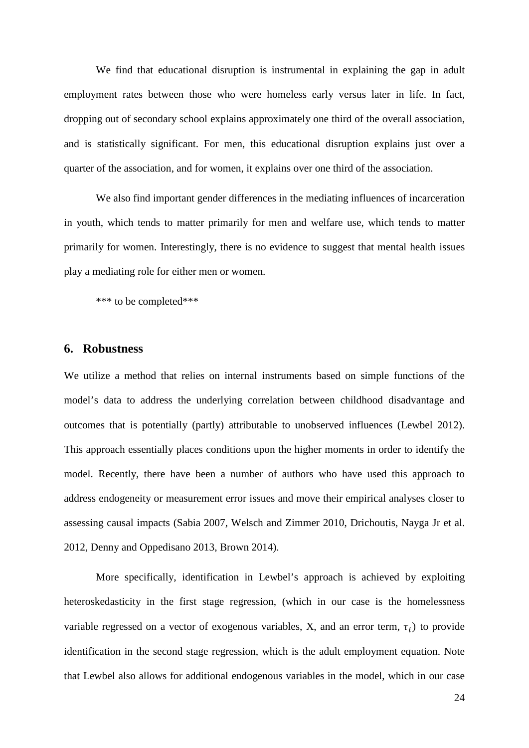We find that educational disruption is instrumental in explaining the gap in adult employment rates between those who were homeless early versus later in life. In fact, dropping out of secondary school explains approximately one third of the overall association, and is statistically significant. For men, this educational disruption explains just over a quarter of the association, and for women, it explains over one third of the association.

We also find important gender differences in the mediating influences of incarceration in youth, which tends to matter primarily for men and welfare use, which tends to matter primarily for women. Interestingly, there is no evidence to suggest that mental health issues play a mediating role for either men or women.

\*\*\* to be completed\*\*\*

## **6. Robustness**

We utilize a method that relies on internal instruments based on simple functions of the model's data to address the underlying correlation between childhood disadvantage and outcomes that is potentially (partly) attributable to unobserved influences (Lewbel 2012). This approach essentially places conditions upon the higher moments in order to identify the model. Recently, there have been a number of authors who have used this approach to address endogeneity or measurement error issues and move their empirical analyses closer to assessing causal impacts (Sabia 2007, Welsch and Zimmer 2010, Drichoutis, Nayga Jr et al. 2012, Denny and Oppedisano 2013, Brown 2014).

More specifically, identification in Lewbel's approach is achieved by exploiting heteroskedasticity in the first stage regression, (which in our case is the homelessness variable regressed on a vector of exogenous variables, X, and an error term,  $\tau_i$ ) to provide identification in the second stage regression, which is the adult employment equation. Note that Lewbel also allows for additional endogenous variables in the model, which in our case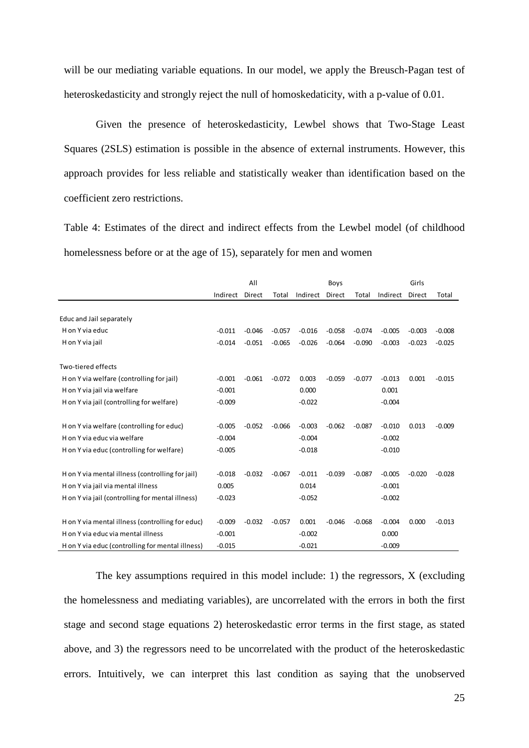will be our mediating variable equations. In our model, we apply the Breusch-Pagan test of heteroskedasticity and strongly reject the null of homoskedaticity, with a p-value of 0.01.

Given the presence of heteroskedasticity, Lewbel shows that Two-Stage Least Squares (2SLS) estimation is possible in the absence of external instruments. However, this approach provides for less reliable and statistically weaker than identification based on the coefficient zero restrictions.

Table 4: Estimates of the direct and indirect effects from the Lewbel model (of childhood homelessness before or at the age of 15), separately for men and women

|                                                  | All      |          |          | Boys     |          |          | Girls    |          |          |
|--------------------------------------------------|----------|----------|----------|----------|----------|----------|----------|----------|----------|
|                                                  | Indirect | Direct   | Total    | Indirect | Direct   | Total    | Indirect | Direct   | Total    |
|                                                  |          |          |          |          |          |          |          |          |          |
| Educ and Jail separately                         |          |          |          |          |          |          |          |          |          |
| H on Y via educ                                  | $-0.011$ | $-0.046$ | $-0.057$ | $-0.016$ | $-0.058$ | $-0.074$ | $-0.005$ | $-0.003$ | $-0.008$ |
| H on Y via jail                                  | $-0.014$ | $-0.051$ | $-0.065$ | $-0.026$ | $-0.064$ | $-0.090$ | $-0.003$ | $-0.023$ | $-0.025$ |
|                                                  |          |          |          |          |          |          |          |          |          |
| Two-tiered effects                               |          |          |          |          |          |          |          |          |          |
| H on Y via welfare (controlling for jail)        | $-0.001$ | $-0.061$ | $-0.072$ | 0.003    | $-0.059$ | $-0.077$ | $-0.013$ | 0.001    | $-0.015$ |
| H on Y via jail via welfare                      | $-0.001$ |          |          | 0.000    |          |          | 0.001    |          |          |
| H on Y via jail (controlling for welfare)        | $-0.009$ |          |          | $-0.022$ |          |          | $-0.004$ |          |          |
|                                                  |          |          |          |          |          |          |          |          |          |
| H on Y via welfare (controlling for educ)        | $-0.005$ | $-0.052$ | $-0.066$ | $-0.003$ | $-0.062$ | $-0.087$ | $-0.010$ | 0.013    | $-0.009$ |
| H on Y via educ via welfare                      | $-0.004$ |          |          | $-0.004$ |          |          | $-0.002$ |          |          |
| H on Y via educ (controlling for welfare)        | $-0.005$ |          |          | $-0.018$ |          |          | $-0.010$ |          |          |
|                                                  |          |          |          |          |          |          |          |          |          |
| H on Y via mental illness (controlling for jail) | $-0.018$ | $-0.032$ | $-0.067$ | $-0.011$ | $-0.039$ | $-0.087$ | $-0.005$ | $-0.020$ | $-0.028$ |
| H on Y via jail via mental illness               | 0.005    |          |          | 0.014    |          |          | $-0.001$ |          |          |
| H on Y via jail (controlling for mental illness) | $-0.023$ |          |          | $-0.052$ |          |          | $-0.002$ |          |          |
|                                                  |          |          |          |          |          |          |          |          |          |
| H on Y via mental illness (controlling for educ) | $-0.009$ | $-0.032$ | $-0.057$ | 0.001    | $-0.046$ | $-0.068$ | $-0.004$ | 0.000    | $-0.013$ |
| H on Y via educ via mental illness               | $-0.001$ |          |          | $-0.002$ |          |          | 0.000    |          |          |
| H on Y via educ (controlling for mental illness) | $-0.015$ |          |          | $-0.021$ |          |          | $-0.009$ |          |          |

The key assumptions required in this model include: 1) the regressors, X (excluding the homelessness and mediating variables), are uncorrelated with the errors in both the first stage and second stage equations 2) heteroskedastic error terms in the first stage, as stated above, and 3) the regressors need to be uncorrelated with the product of the heteroskedastic errors. Intuitively, we can interpret this last condition as saying that the unobserved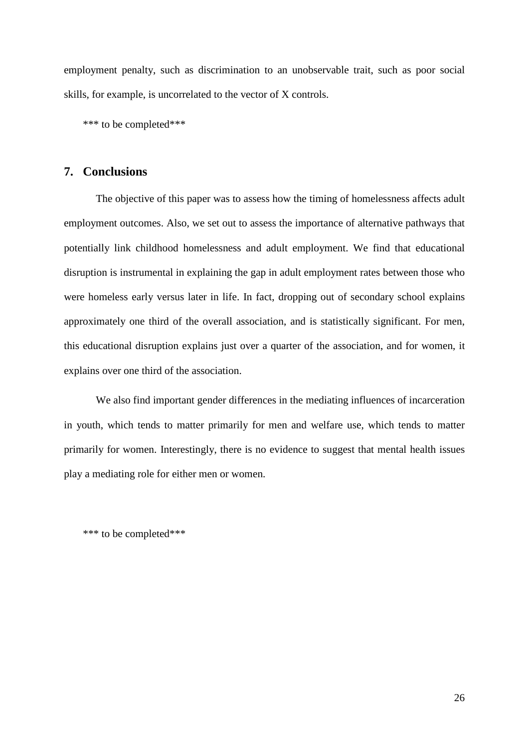employment penalty, such as discrimination to an unobservable trait, such as poor social skills, for example, is uncorrelated to the vector of X controls.

\*\*\* to be completed\*\*\*

# **7. Conclusions**

The objective of this paper was to assess how the timing of homelessness affects adult employment outcomes. Also, we set out to assess the importance of alternative pathways that potentially link childhood homelessness and adult employment. We find that educational disruption is instrumental in explaining the gap in adult employment rates between those who were homeless early versus later in life. In fact, dropping out of secondary school explains approximately one third of the overall association, and is statistically significant. For men, this educational disruption explains just over a quarter of the association, and for women, it explains over one third of the association.

We also find important gender differences in the mediating influences of incarceration in youth, which tends to matter primarily for men and welfare use, which tends to matter primarily for women. Interestingly, there is no evidence to suggest that mental health issues play a mediating role for either men or women.

\*\*\* to be completed\*\*\*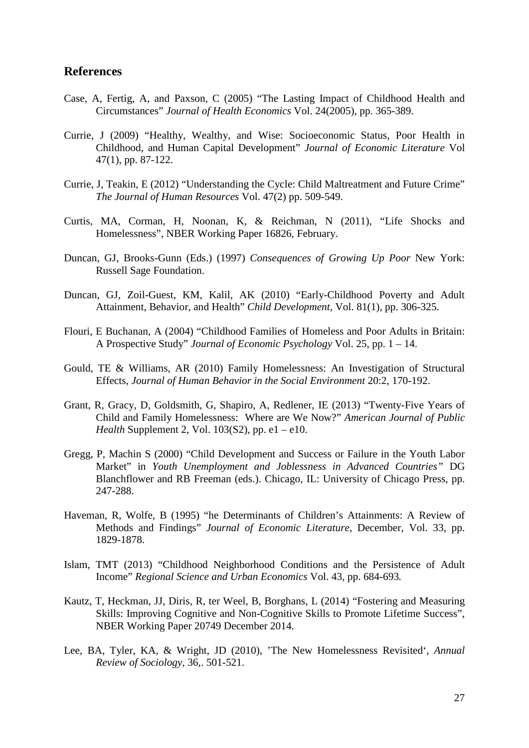### **References**

- Case, A, Fertig, A, and Paxson, C (2005) "The Lasting Impact of Childhood Health and Circumstances" *Journal of Health Economics* Vol. 24(2005), pp. 365-389.
- Currie, J (2009) "Healthy, Wealthy, and Wise: Socioeconomic Status, Poor Health in Childhood, and Human Capital Development" *Journal of Economic Literature* Vol 47(1), pp. 87-122.
- Currie, J, Teakin, E (2012) "Understanding the Cycle: Child Maltreatment and Future Crime" *The Journal of Human Resources* Vol. 47(2) pp. 509-549.
- Curtis, MA, Corman, H, Noonan, K, & Reichman, N (2011), "Life Shocks and Homelessness", NBER Working Paper 16826, February.
- Duncan, GJ, Brooks-Gunn (Eds.) (1997) *Consequences of Growing Up Poor* New York: Russell Sage Foundation.
- Duncan, GJ, Zoil-Guest, KM, Kalil, AK (2010) "Early-Childhood Poverty and Adult Attainment, Behavior, and Health" *Child Development,* Vol. 81(1), pp. 306-325.
- Flouri, E Buchanan, A (2004) "Childhood Families of Homeless and Poor Adults in Britain: A Prospective Study" *Journal of Economic Psychology* Vol. 25, pp. 1 – 14.
- Gould, TE & Williams, AR (2010) Family Homelessness: An Investigation of Structural Effects, *Journal of Human Behavior in the Social Environment* 20:2, 170-192.
- Grant, R, Gracy, D, Goldsmith, G, Shapiro, A, Redlener, IE (2013) "Twenty-Five Years of Child and Family Homelessness: Where are We Now?" *American Journal of Public Health* Supplement 2, Vol. 103(S2), pp. e1 – e10.
- Gregg, P, Machin S (2000) "Child Development and Success or Failure in the Youth Labor Market" in *Youth Unemployment and Joblessness in Advanced Countries"* DG Blanchflower and RB Freeman (eds.). Chicago, IL: University of Chicago Press, pp. 247-288.
- Haveman, R, Wolfe, B (1995) "he Determinants of Children's Attainments: A Review of Methods and Findings" *Journal of Economic Literature*, December, Vol. 33, pp. 1829-1878.
- Islam, TMT (2013) "Childhood Neighborhood Conditions and the Persistence of Adult Income" *Regional Science and Urban Economics* Vol. 43, pp. 684-693*.*
- Kautz, T, Heckman, JJ, Diris, R, ter Weel, B, Borghans, L (2014) "Fostering and Measuring Skills: Improving Cognitive and Non-Cognitive Skills to Promote Lifetime Success", NBER Working Paper 20749 December 2014.
- Lee, BA, Tyler, KA, & Wright, JD (2010), 'The New Homelessness Revisited', *Annual Review of Sociology*, 36,. 501-521.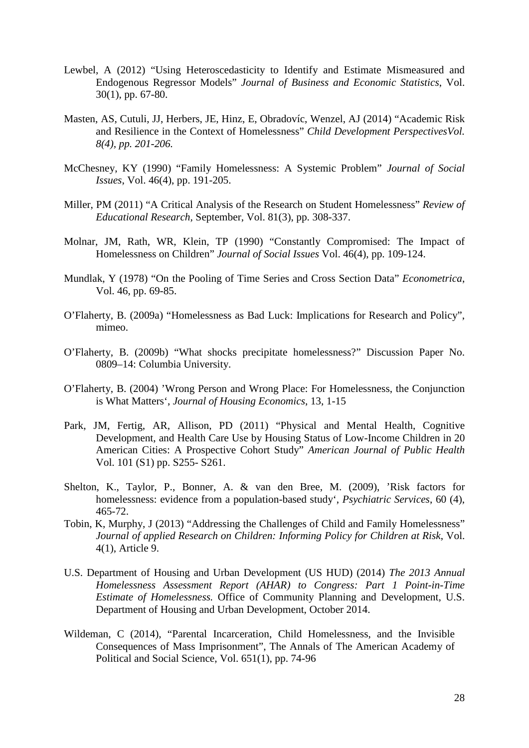- Lewbel, A (2012) "Using Heteroscedasticity to Identify and Estimate Mismeasured and Endogenous Regressor Models" *Journal of Business and Economic Statistics*, Vol. 30(1), pp. 67-80.
- Masten, AS, Cutuli, JJ, Herbers, JE, Hinz, E, Obradovíc, Wenzel, AJ (2014) "Academic Risk and Resilience in the Context of Homelessness" *Child Development PerspectivesVol. 8(4), pp. 201-206.*
- McChesney, KY (1990) "Family Homelessness: A Systemic Problem" *Journal of Social Issues*, Vol. 46(4), pp. 191-205.
- Miller, PM (2011) "A Critical Analysis of the Research on Student Homelessness" *Review of Educational Research,* September, Vol. 81(3), pp. 308-337.
- Molnar, JM, Rath, WR, Klein, TP (1990) "Constantly Compromised: The Impact of Homelessness on Children" *Journal of Social Issues* Vol. 46(4), pp. 109-124.
- Mundlak, Y (1978) "On the Pooling of Time Series and Cross Section Data" *Econometrica*, Vol. 46, pp. 69-85.
- O'Flaherty, B. (2009a) "Homelessness as Bad Luck: Implications for Research and Policy", mimeo.
- O'Flaherty, B. (2009b) "What shocks precipitate homelessness?" Discussion Paper No. 0809–14: Columbia University.
- O'Flaherty, B. (2004) 'Wrong Person and Wrong Place: For Homelessness, the Conjunction is What Matters', *Journal of Housing Economics*, 13, 1-15
- Park, JM, Fertig, AR, Allison, PD (2011) "Physical and Mental Health, Cognitive Development, and Health Care Use by Housing Status of Low-Income Children in 20 American Cities: A Prospective Cohort Study" *American Journal of Public Health* Vol. 101 (S1) pp. S255- S261.
- Shelton, K., Taylor, P., Bonner, A. & van den Bree, M. (2009), 'Risk factors for homelessness: evidence from a population-based study', *Psychiatric Services*, 60 (4), 465-72.
- Tobin, K, Murphy, J (2013) "Addressing the Challenges of Child and Family Homelessness" *Journal of applied Research on Children: Informing Policy for Children at Risk*, Vol. 4(1), Article 9.
- U.S. Department of Housing and Urban Development (US HUD) (2014) *The 2013 Annual Homelessness Assessment Report (AHAR) to Congress: Part 1 Point-in-Time Estimate of Homelessness.* Office of Community Planning and Development, U.S. Department of Housing and Urban Development, October 2014.
- Wildeman, C (2014), "Parental Incarceration, Child Homelessness, and the Invisible Consequences of Mass Imprisonment", The Annals of The American Academy of Political and Social Science, Vol. 651(1), pp. 74-96